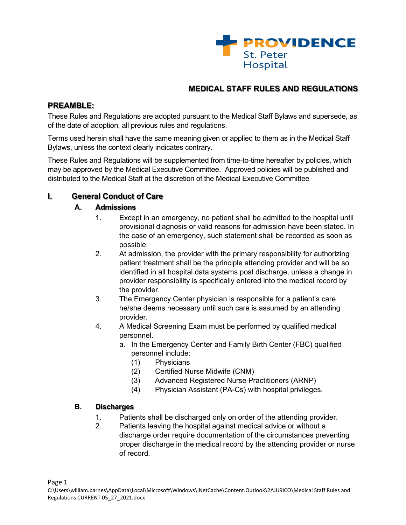

# **MEDICAL STAFF RULES AND REGULATIONS**

## **PREAMBLE:**

These Rules and Regulations are adopted pursuant to the Medical Staff Bylaws and supersede, as of the date of adoption, all previous rules and regulations.

Terms used herein shall have the same meaning given or applied to them as in the Medical Staff Bylaws, unless the context clearly indicates contrary.

These Rules and Regulations will be supplemented from time-to-time hereafter by policies, which may be approved by the Medical Executive Committee. Approved policies will be published and distributed to the Medical Staff at the discretion of the Medical Executive Committee

## **I. General Conduct of Care**

#### **A. Admissions**

- 1. Except in an emergency, no patient shall be admitted to the hospital until provisional diagnosis or valid reasons for admission have been stated. In the case of an emergency, such statement shall be recorded as soon as possible.
- 2. At admission, the provider with the primary responsibility for authorizing patient treatment shall be the principle attending provider and will be so identified in all hospital data systems post discharge, unless a change in provider responsibility is specifically entered into the medical record by the provider.
- 3. The Emergency Center physician is responsible for a patient's care he/she deems necessary until such care is assumed by an attending provider.
- 4. A Medical Screening Exam must be performed by qualified medical personnel.
	- a. In the Emergency Center and Family Birth Center (FBC) qualified personnel include:
		- (1) Physicians
		- (2) Certified Nurse Midwife (CNM)
		- (3) Advanced Registered Nurse Practitioners (ARNP)
		- (4) Physician Assistant (PA-Cs) with hospital privileges.

#### **B. Discharges**

- 1. Patients shall be discharged only on order of the attending provider.
- 2. Patients leaving the hospital against medical advice or without a discharge order require documentation of the circumstances preventing proper discharge in the medical record by the attending provider or nurse of record.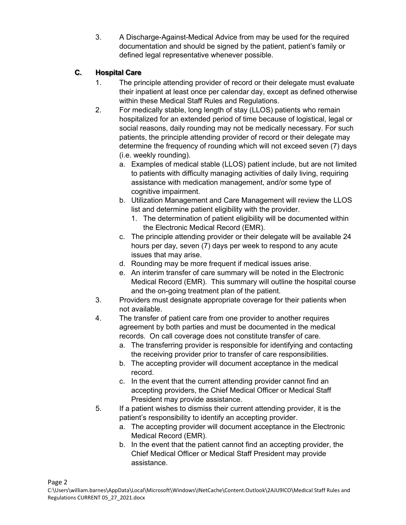3. A Discharge-Against-Medical Advice from may be used for the required documentation and should be signed by the patient, patient's family or defined legal representative whenever possible.

# **C. Hospital Care**

- 1. The principle attending provider of record or their delegate must evaluate their inpatient at least once per calendar day, except as defined otherwise within these Medical Staff Rules and Regulations.
- 2. For medically stable, long length of stay (LLOS) patients who remain hospitalized for an extended period of time because of logistical, legal or social reasons, daily rounding may not be medically necessary. For such patients, the principle attending provider of record or their delegate may determine the frequency of rounding which will not exceed seven (7) days (i.e. weekly rounding).
	- a. Examples of medical stable (LLOS) patient include, but are not limited to patients with difficulty managing activities of daily living, requiring assistance with medication management, and/or some type of cognitive impairment.
	- b. Utilization Management and Care Management will review the LLOS list and determine patient eligibility with the provider.
		- 1. The determination of patient eligibility will be documented within the Electronic Medical Record (EMR).
	- c. The principle attending provider or their delegate will be available 24 hours per day, seven (7) days per week to respond to any acute issues that may arise.
	- d. Rounding may be more frequent if medical issues arise.
	- e. An interim transfer of care summary will be noted in the Electronic Medical Record (EMR). This summary will outline the hospital course and the on-going treatment plan of the patient.
- 3. Providers must designate appropriate coverage for their patients when not available.
- 4. The transfer of patient care from one provider to another requires agreement by both parties and must be documented in the medical records. On call coverage does not constitute transfer of care.
	- a. The transferring provider is responsible for identifying and contacting the receiving provider prior to transfer of care responsibilities.
	- b. The accepting provider will document acceptance in the medical record.
	- c. In the event that the current attending provider cannot find an accepting providers, the Chief Medical Officer or Medical Staff President may provide assistance.
- 5. If a patient wishes to dismiss their current attending provider, it is the patient's responsibility to identify an accepting provider.
	- a. The accepting provider will document acceptance in the Electronic Medical Record (EMR).
	- b. In the event that the patient cannot find an accepting provider, the Chief Medical Officer or Medical Staff President may provide assistance.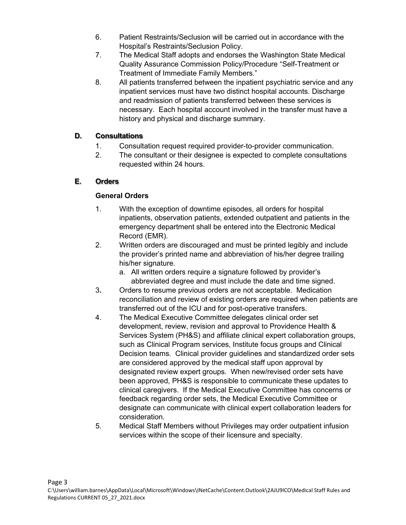- 6. Patient Restraints/Seclusion will be carried out in accordance with the Hospital's Restraints/Seclusion Policy.
- 7. The Medical Staff adopts and endorses the Washington State Medical Quality Assurance Commission Policy/Procedure "Self-Treatment or Treatment of Immediate Family Members."
- 8. All patients transferred between the inpatient psychiatric service and any inpatient services must have two distinct hospital accounts. Discharge and readmission of patients transferred between these services is necessary. Each hospital account involved in the transfer must have a history and physical and discharge summary.

## **D. Consultations**

- 1. Consultation request required provider-to-provider communication.
- 2. The consultant or their designee is expected to complete consultations requested within 24 hours.

# **E. Orders**

# **General Orders**

- 1. With the exception of downtime episodes, all orders for hospital inpatients, observation patients, extended outpatient and patients in the emergency department shall be entered into the Electronic Medical Record (EMR).
- 2. Written orders are discouraged and must be printed legibly and include the provider's printed name and abbreviation of his/her degree trailing his/her signature.
	- a. All written orders require a signature followed by provider's abbreviated degree and must include the date and time signed.
- 3**.** Orders to resume previous orders are not acceptable. Medication reconciliation and review of existing orders are required when patients are transferred out of the ICU and for post-operative transfers.
- 4. The Medical Executive Committee delegates clinical order set development, review, revision and approval to Providence Health & Services System (PH&S) and affiliate clinical expert collaboration groups, such as Clinical Program services, Institute focus groups and Clinical Decision teams. Clinical provider guidelines and standardized order sets are considered approved by the medical staff upon approval by designated review expert groups. When new/revised order sets have been approved, PH&S is responsible to communicate these updates to clinical caregivers. If the Medical Executive Committee has concerns or feedback regarding order sets, the Medical Executive Committee or designate can communicate with clinical expert collaboration leaders for consideration.
- 5. Medical Staff Members without Privileges may order outpatient infusion services within the scope of their licensure and specialty.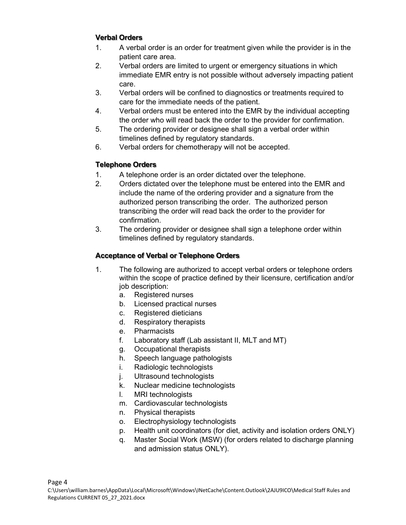#### **Verbal Orders**

- 1. A verbal order is an order for treatment given while the provider is in the patient care area.
- 2. Verbal orders are limited to urgent or emergency situations in which immediate EMR entry is not possible without adversely impacting patient care.
- 3. Verbal orders will be confined to diagnostics or treatments required to care for the immediate needs of the patient.
- 4. Verbal orders must be entered into the EMR by the individual accepting the order who will read back the order to the provider for confirmation.
- 5. The ordering provider or designee shall sign a verbal order within timelines defined by regulatory standards.
- 6. Verbal orders for chemotherapy will not be accepted.

## **Telephone Orders**

- 1. A telephone order is an order dictated over the telephone.
- 2. Orders dictated over the telephone must be entered into the EMR and include the name of the ordering provider and a signature from the authorized person transcribing the order. The authorized person transcribing the order will read back the order to the provider for confirmation.
- 3. The ordering provider or designee shall sign a telephone order within timelines defined by regulatory standards.

# **Acceptance of Verbal or Telephone Orders**

- 1. The following are authorized to accept verbal orders or telephone orders within the scope of practice defined by their licensure, certification and/or job description:
	- a. Registered nurses
	- b. Licensed practical nurses
	- c. Registered dieticians
	- d. Respiratory therapists
	- e. Pharmacists
	- f. Laboratory staff (Lab assistant II, MLT and MT)
	- g. Occupational therapists
	- h. Speech language pathologists
	- i. Radiologic technologists
	- j. Ultrasound technologists
	- k. Nuclear medicine technologists
	- l. MRI technologists
	- m. Cardiovascular technologists
	- n. Physical therapists
	- o. Electrophysiology technologists
	- p. Health unit coordinators (for diet, activity and isolation orders ONLY)
	- q. Master Social Work (MSW) (for orders related to discharge planning and admission status ONLY).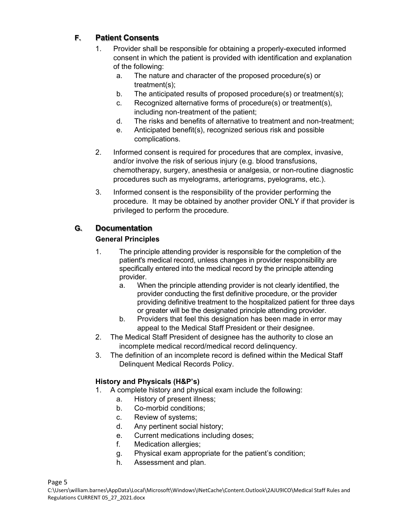# **F. Patient Consents**

- 1. Provider shall be responsible for obtaining a properly-executed informed consent in which the patient is provided with identification and explanation of the following:
	- a. The nature and character of the proposed procedure(s) or treatment(s);
	- b. The anticipated results of proposed procedure(s) or treatment(s);
	- c. Recognized alternative forms of procedure(s) or treatment(s), including non-treatment of the patient;
	- d. The risks and benefits of alternative to treatment and non-treatment;
	- e. Anticipated benefit(s), recognized serious risk and possible complications.
- 2. Informed consent is required for procedures that are complex, invasive, and/or involve the risk of serious injury (e.g. blood transfusions, chemotherapy, surgery, anesthesia or analgesia, or non-routine diagnostic procedures such as myelograms, arteriograms, pyelograms, etc.).
- 3. Informed consent is the responsibility of the provider performing the procedure. It may be obtained by another provider ONLY if that provider is privileged to perform the procedure.

# **G. Documentation**

## **General Principles**

- 1. The principle attending provider is responsible for the completion of the patient's medical record, unless changes in provider responsibility are specifically entered into the medical record by the principle attending provider.
	- a. When the principle attending provider is not clearly identified, the provider conducting the first definitive procedure, or the provider providing definitive treatment to the hospitalized patient for three days or greater will be the designated principle attending provider.
	- b. Providers that feel this designation has been made in error may appeal to the Medical Staff President or their designee.
- 2. The Medical Staff President of designee has the authority to close an incomplete medical record/medical record delinquency.
- 3. The definition of an incomplete record is defined within the Medical Staff Delinquent Medical Records Policy.

## **History and Physicals (H&P's)**

- 1. A complete history and physical exam include the following:
	- a. History of present illness;
	- b. Co-morbid conditions;
	- c. Review of systems;
	- d. Any pertinent social history;
	- e. Current medications including doses;
	- f. Medication allergies;
	- g. Physical exam appropriate for the patient's condition;
	- h. Assessment and plan.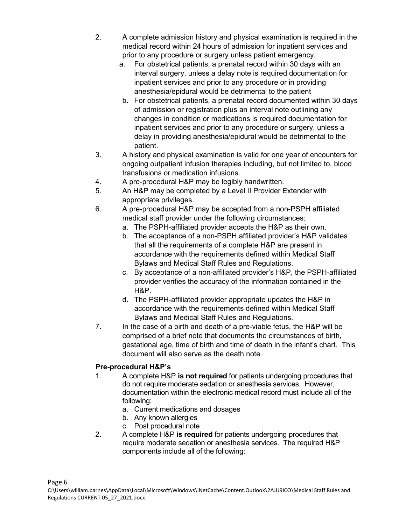- 2. A complete admission history and physical examination is required in the medical record within 24 hours of admission for inpatient services and prior to any procedure or surgery unless patient emergency.
	- a. For obstetrical patients, a prenatal record within 30 days with an interval surgery, unless a delay note is required documentation for inpatient services and prior to any procedure or in providing anesthesia/epidural would be detrimental to the patient
	- b. For obstetrical patients, a prenatal record documented within 30 days of admission or registration plus an interval note outlining any changes in condition or medications is required documentation for inpatient services and prior to any procedure or surgery, unless a delay in providing anesthesia/epidural would be detrimental to the patient.
- 3. A history and physical examination is valid for one year of encounters for ongoing outpatient infusion therapies including, but not limited to, blood transfusions or medication infusions.
- 4. A pre-procedural H&P may be legibly handwritten.
- 5. An H&P may be completed by a Level II Provider Extender with appropriate privileges.
- 6. A pre-procedural H&P may be accepted from a non-PSPH affiliated medical staff provider under the following circumstances:
	- a. The PSPH-affiliated provider accepts the H&P as their own.
	- b. The acceptance of a non-PSPH affiliated provider's H&P validates that all the requirements of a complete H&P are present in accordance with the requirements defined within Medical Staff Bylaws and Medical Staff Rules and Regulations.
	- c. By acceptance of a non-affiliated provider's H&P, the PSPH-affiliated provider verifies the accuracy of the information contained in the H&P.
	- d. The PSPH-affiliated provider appropriate updates the H&P in accordance with the requirements defined within Medical Staff Bylaws and Medical Staff Rules and Regulations.
- 7. In the case of a birth and death of a pre-viable fetus, the H&P will be comprised of a brief note that documents the circumstances of birth, gestational age, time of birth and time of death in the infant's chart. This document will also serve as the death note.

## **Pre-procedural H&P's**

- 1. A complete H&P **is not required** for patients undergoing procedures that do not require moderate sedation or anesthesia services. However, documentation within the electronic medical record must include all of the following:
	- a. Current medications and dosages
	- b. Any known allergies
	- c. Post procedural note
- 2. A complete H&P **is required** for patients undergoing procedures that require moderate sedation or anesthesia services. The required H&P components include all of the following: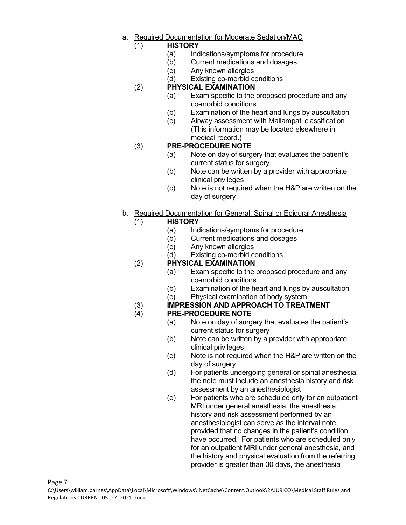a. Required Documentation for Moderate Sedation/MAC

## (1) **HISTORY**

- (a) Indications/symptoms for procedure
- (b) Current medications and dosages
- (c) Any known allergies
- (d) Existing co-morbid conditions

#### (2) **PHYSICAL EXAMINATION**

- (a) Exam specific to the proposed procedure and any co-morbid conditions
- (b) Examination of the heart and lungs by auscultation
- (c) Airway assessment with Mallampati classification (This information may be located elsewhere in medical record.)

#### (3) **PRE-PROCEDURE NOTE**

- (a) Note on day of surgery that evaluates the patient's current status for surgery
- (b) Note can be written by a provider with appropriate clinical privileges
- (c) Note is not required when the H&P are written on the day of surgery
- b. Required Documentation for General, Spinal or Epidural Anesthesia

#### (1) **HISTORY**

- (a) Indications/symptoms for procedure
- (b) Current medications and dosages
- (c) Any known allergies
- (d) Existing co-morbid conditions

#### (2) **PHYSICAL EXAMINATION**

- (a) Exam specific to the proposed procedure and any co-morbid conditions
- (b) Examination of the heart and lungs by auscultation
- (c) Physical examination of body system

# (3) **IMPRESSION AND APPROACH TO TREATMENT**

#### (4) **PRE-PROCEDURE NOTE**

- (a) Note on day of surgery that evaluates the patient's current status for surgery
- (b) Note can be written by a provider with appropriate clinical privileges
- (c) Note is not required when the H&P are written on the day of surgery
- (d) For patients undergoing general or spinal anesthesia, the note must include an anesthesia history and risk assessment by an anesthesiologist
- (e) For patients who are scheduled only for an outpatient MRI under general anesthesia, the anesthesia history and risk assessment performed by an anesthesiologist can serve as the interval note, provided that no changes in the patient's condition have occurred. For patients who are scheduled only for an outpatient MRI under general anesthesia, and the history and physical evaluation from the referring provider is greater than 30 days, the anesthesia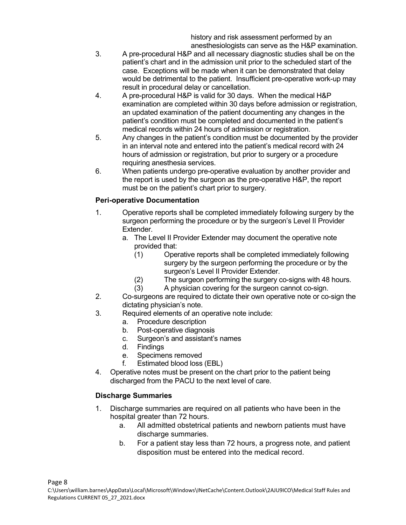history and risk assessment performed by an anesthesiologists can serve as the H&P examination.

- 3. A pre-procedural H&P and all necessary diagnostic studies shall be on the patient's chart and in the admission unit prior to the scheduled start of the case. Exceptions will be made when it can be demonstrated that delay would be detrimental to the patient. Insufficient pre-operative work-up may result in procedural delay or cancellation.
- 4. A pre-procedural H&P is valid for 30 days. When the medical H&P examination are completed within 30 days before admission or registration, an updated examination of the patient documenting any changes in the patient's condition must be completed and documented in the patient's medical records within 24 hours of admission or registration.
- 5. Any changes in the patient's condition must be documented by the provider in an interval note and entered into the patient's medical record with 24 hours of admission or registration, but prior to surgery or a procedure requiring anesthesia services.
- 6. When patients undergo pre-operative evaluation by another provider and the report is used by the surgeon as the pre-operative H&P, the report must be on the patient's chart prior to surgery.

#### **Peri-operative Documentation**

- 1. Operative reports shall be completed immediately following surgery by the surgeon performing the procedure or by the surgeon's Level II Provider Extender.
	- a. The Level II Provider Extender may document the operative note provided that:
		- (1) Operative reports shall be completed immediately following surgery by the surgeon performing the procedure or by the surgeon's Level II Provider Extender.
		- (2) The surgeon performing the surgery co-signs with 48 hours.
		- (3) A physician covering for the surgeon cannot co-sign.
- 2. Co-surgeons are required to dictate their own operative note or co-sign the dictating physician's note.
- 3. Required elements of an operative note include:
	- a. Procedure description
	- b. Post-operative diagnosis
	- c. Surgeon's and assistant's names
	- d. Findings
	- e. Specimens removed
	- f. Estimated blood loss (EBL)
- 4. Operative notes must be present on the chart prior to the patient being discharged from the PACU to the next level of care.

#### **Discharge Summaries**

- 1. Discharge summaries are required on all patients who have been in the hospital greater than 72 hours.
	- a. All admitted obstetrical patients and newborn patients must have discharge summaries.
	- b. For a patient stay less than 72 hours, a progress note, and patient disposition must be entered into the medical record.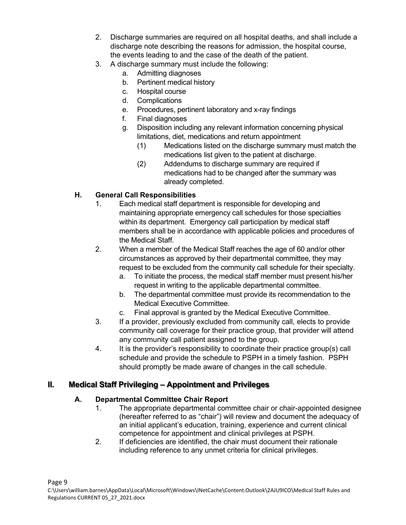- 2. Discharge summaries are required on all hospital deaths, and shall include a discharge note describing the reasons for admission, the hospital course, the events leading to and the case of the death of the patient.
- 3. A discharge summary must include the following:
	- a. Admitting diagnoses
	- b. Pertinent medical history
	- c. Hospital course
	- d. Complications
	- e. Procedures, pertinent laboratory and x-ray findings
	- f. Final diagnoses
	- g. Disposition including any relevant information concerning physical limitations, diet, medications and return appointment
		- (1) Medications listed on the discharge summary must match the medications list given to the patient at discharge.
		- (2) Addendums to discharge summary are required if medications had to be changed after the summary was already completed.

## **H. General Call Responsibilities**

- 1. Each medical staff department is responsible for developing and maintaining appropriate emergency call schedules for those specialties within its department. Emergency call participation by medical staff members shall be in accordance with applicable policies and procedures of the Medical Staff.
- 2. When a member of the Medical Staff reaches the age of 60 and/or other circumstances as approved by their departmental committee, they may request to be excluded from the community call schedule for their specialty.
	- a. To initiate the process, the medical staff member must present his/her request in writing to the applicable departmental committee.
	- b. The departmental committee must provide its recommendation to the Medical Executive Committee.
	- c. Final approval is granted by the Medical Executive Committee.
- 3. If a provider, previously excluded from community call, elects to provide community call coverage for their practice group, that provider will attend any community call patient assigned to the group.
- 4. It is the provider's responsibility to coordinate their practice group(s) call schedule and provide the schedule to PSPH in a timely fashion. PSPH should promptly be made aware of changes in the call schedule.

# **II. Medical Staff Privileging – Appointment and Privileges**

## **A. Departmental Committee Chair Report**

- 1. The appropriate departmental committee chair or chair-appointed designee (hereafter referred to as "chair") will review and document the adequacy of an initial applicant's education, training, experience and current clinical competence for appointment and clinical privileges at PSPH.
- 2. If deficiencies are identified, the chair must document their rationale including reference to any unmet criteria for clinical privileges.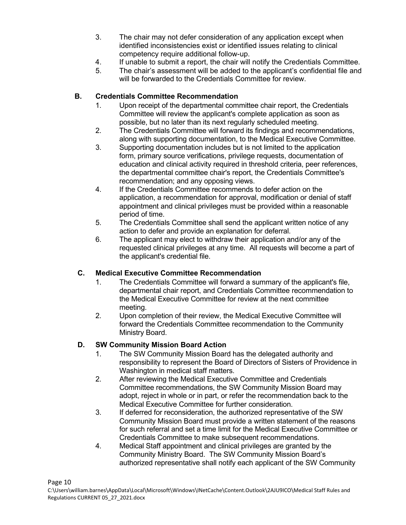- 3. The chair may not defer consideration of any application except when identified inconsistencies exist or identified issues relating to clinical competency require additional follow-up.
- 4. If unable to submit a report, the chair will notify the Credentials Committee.
- 5. The chair's assessment will be added to the applicant's confidential file and will be forwarded to the Credentials Committee for review.

## **B. Credentials Committee Recommendation**

- 1. Upon receipt of the departmental committee chair report, the Credentials Committee will review the applicant's complete application as soon as possible, but no later than its next regularly scheduled meeting.
- 2. The Credentials Committee will forward its findings and recommendations, along with supporting documentation, to the Medical Executive Committee.
- 3. Supporting documentation includes but is not limited to the application form, primary source verifications, privilege requests, documentation of education and clinical activity required in threshold criteria, peer references, the departmental committee chair's report, the Credentials Committee's recommendation; and any opposing views.
- 4. If the Credentials Committee recommends to defer action on the application, a recommendation for approval, modification or denial of staff appointment and clinical privileges must be provided within a reasonable period of time.
- 5. The Credentials Committee shall send the applicant written notice of any action to defer and provide an explanation for deferral.
- 6. The applicant may elect to withdraw their application and/or any of the requested clinical privileges at any time. All requests will become a part of the applicant's credential file.

#### **C. Medical Executive Committee Recommendation**

- 1. The Credentials Committee will forward a summary of the applicant's file, departmental chair report, and Credentials Committee recommendation to the Medical Executive Committee for review at the next committee meeting.
- 2. Upon completion of their review, the Medical Executive Committee will forward the Credentials Committee recommendation to the Community Ministry Board.

## **D. SW Community Mission Board Action**

- 1. The SW Community Mission Board has the delegated authority and responsibility to represent the Board of Directors of Sisters of Providence in Washington in medical staff matters.
- 2. After reviewing the Medical Executive Committee and Credentials Committee recommendations, the SW Community Mission Board may adopt, reject in whole or in part, or refer the recommendation back to the Medical Executive Committee for further consideration.
- 3. If deferred for reconsideration, the authorized representative of the SW Community Mission Board must provide a written statement of the reasons for such referral and set a time limit for the Medical Executive Committee or Credentials Committee to make subsequent recommendations.
- 4. Medical Staff appointment and clinical privileges are granted by the Community Ministry Board. The SW Community Mission Board's authorized representative shall notify each applicant of the SW Community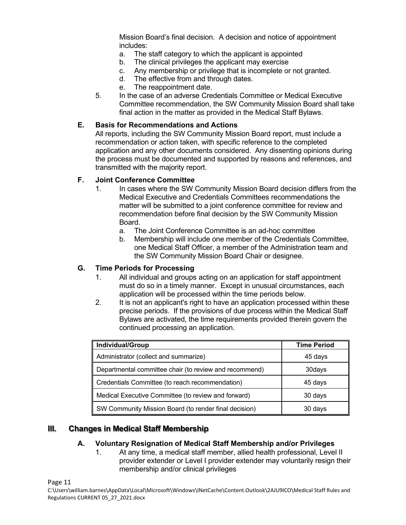Mission Board's final decision. A decision and notice of appointment includes:

- a. The staff category to which the applicant is appointed
- b. The clinical privileges the applicant may exercise
- c. Any membership or privilege that is incomplete or not granted.
- d. The effective from and through dates.
- e. The reappointment date.
- 5. In the case of an adverse Credentials Committee or Medical Executive Committee recommendation, the SW Community Mission Board shall take final action in the matter as provided in the Medical Staff Bylaws.

#### **E. Basis for Recommendations and Actions**

All reports, including the SW Community Mission Board report, must include a recommendation or action taken, with specific reference to the completed application and any other documents considered. Any dissenting opinions during the process must be documented and supported by reasons and references, and transmitted with the majority report.

#### **F. Joint Conference Committee**

- 1. In cases where the SW Community Mission Board decision differs from the Medical Executive and Credentials Committees recommendations the matter will be submitted to a joint conference committee for review and recommendation before final decision by the SW Community Mission **Board** 
	- a. The Joint Conference Committee is an ad-hoc committee
	- b. Membership will include one member of the Credentials Committee, one Medical Staff Officer, a member of the Administration team and the SW Community Mission Board Chair or designee.

#### **G. Time Periods for Processing**

- 1. All individual and groups acting on an application for staff appointment must do so in a timely manner. Except in unusual circumstances, each application will be processed within the time periods below.
- 2. It is not an applicant's right to have an application processed within these precise periods. If the provisions of due process within the Medical Staff Bylaws are activated, the time requirements provided therein govern the continued processing an application.

| Individual/Group                                       | <b>Time Period</b> |
|--------------------------------------------------------|--------------------|
| Administrator (collect and summarize)                  | 45 days            |
| Departmental committee chair (to review and recommend) | 30days             |
| Credentials Committee (to reach recommendation)        | 45 days            |
| Medical Executive Committee (to review and forward)    | 30 days            |
| SW Community Mission Board (to render final decision)  | 30 days            |

#### **III. Changes in Medical Staff Membership**

#### **A. Voluntary Resignation of Medical Staff Membership and/or Privileges**

1. At any time, a medical staff member, allied health professional, Level II provider extender or Level I provider extender may voluntarily resign their membership and/or clinical privileges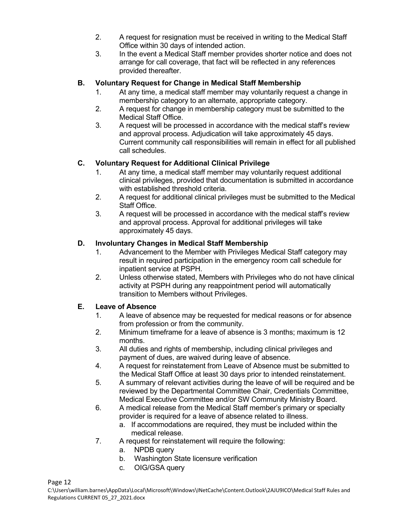- 2. A request for resignation must be received in writing to the Medical Staff Office within 30 days of intended action.
- 3. In the event a Medical Staff member provides shorter notice and does not arrange for call coverage, that fact will be reflected in any references provided thereafter.

## **B. Voluntary Request for Change in Medical Staff Membership**

- 1. At any time, a medical staff member may voluntarily request a change in membership category to an alternate, appropriate category.
- 2. A request for change in membership category must be submitted to the Medical Staff Office.
- 3. A request will be processed in accordance with the medical staff's review and approval process. Adjudication will take approximately 45 days. Current community call responsibilities will remain in effect for all published call schedules.

## **C. Voluntary Request for Additional Clinical Privilege**

- 1. At any time, a medical staff member may voluntarily request additional clinical privileges, provided that documentation is submitted in accordance with established threshold criteria.
- 2. A request for additional clinical privileges must be submitted to the Medical Staff Office.
- 3. A request will be processed in accordance with the medical staff's review and approval process. Approval for additional privileges will take approximately 45 days.

## **D. Involuntary Changes in Medical Staff Membership**

- 1. Advancement to the Member with Privileges Medical Staff category may result in required participation in the emergency room call schedule for inpatient service at PSPH.
- 2. Unless otherwise stated, Members with Privileges who do not have clinical activity at PSPH during any reappointment period will automatically transition to Members without Privileges.

#### **E. Leave of Absence**

- 1. A leave of absence may be requested for medical reasons or for absence from profession or from the community.
- 2. Minimum timeframe for a leave of absence is 3 months; maximum is 12 months.
- 3. All duties and rights of membership, including clinical privileges and payment of dues, are waived during leave of absence.
- 4. A request for reinstatement from Leave of Absence must be submitted to the Medical Staff Office at least 30 days prior to intended reinstatement.
- 5. A summary of relevant activities during the leave of will be required and be reviewed by the Departmental Committee Chair, Credentials Committee, Medical Executive Committee and/or SW Community Ministry Board.
- 6. A medical release from the Medical Staff member's primary or specialty provider is required for a leave of absence related to illness.
	- a. If accommodations are required, they must be included within the medical release.
- 7. A request for reinstatement will require the following:
	- a. NPDB query
	- b. Washington State licensure verification
	- c. OIG/GSA query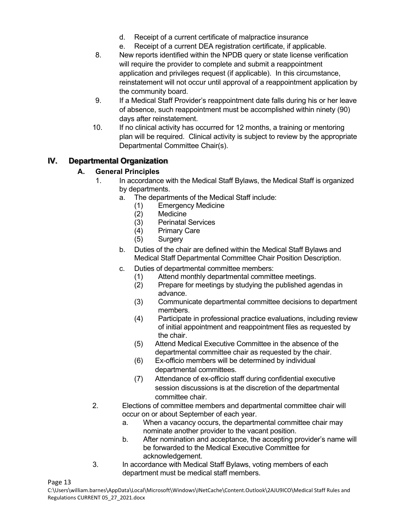- d. Receipt of a current certificate of malpractice insurance
- e. Receipt of a current DEA registration certificate, if applicable.
- 8. New reports identified within the NPDB query or state license verification will require the provider to complete and submit a reappointment application and privileges request (if applicable). In this circumstance, reinstatement will not occur until approval of a reappointment application by the community board.
- 9. If a Medical Staff Provider's reappointment date falls during his or her leave of absence, such reappointment must be accomplished within ninety (90) days after reinstatement.
- 10. If no clinical activity has occurred for 12 months, a training or mentoring plan will be required. Clinical activity is subject to review by the appropriate Departmental Committee Chair(s).

# **IV. Departmental Organization**

## **A. General Principles**

- 1. In accordance with the Medical Staff Bylaws, the Medical Staff is organized by departments.
	- a. The departments of the Medical Staff include:
		- (1) Emergency Medicine
		- (2) Medicine
		- (3) Perinatal Services<br>(4) Primary Care
		- Primary Care
		- (5) Surgery
	- b. Duties of the chair are defined within the Medical Staff Bylaws and Medical Staff Departmental Committee Chair Position Description.
	- c. Duties of departmental committee members:
		- (1) Attend monthly departmental committee meetings.
		- (2) Prepare for meetings by studying the published agendas in advance.
		- (3) Communicate departmental committee decisions to department members.
		- (4) Participate in professional practice evaluations, including review of initial appointment and reappointment files as requested by the chair.
		- (5) Attend Medical Executive Committee in the absence of the departmental committee chair as requested by the chair.
		- (6) Ex-officio members will be determined by individual departmental committees.
		- (7) Attendance of ex-officio staff during confidential executive session discussions is at the discretion of the departmental committee chair.
- 2. Elections of committee members and departmental committee chair will occur on or about September of each year.
	- a. When a vacancy occurs, the departmental committee chair may nominate another provider to the vacant position.
	- b. After nomination and acceptance, the accepting provider's name will be forwarded to the Medical Executive Committee for acknowledgement.
- 3. In accordance with Medical Staff Bylaws, voting members of each department must be medical staff members.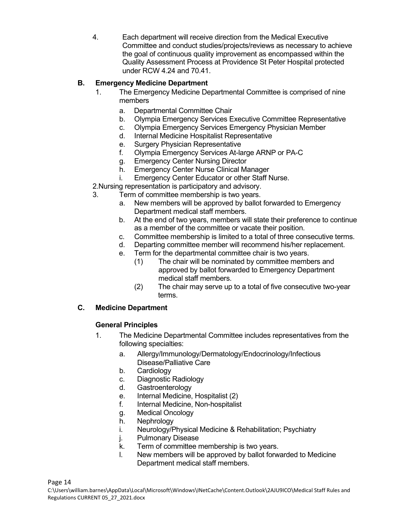4. Each department will receive direction from the Medical Executive Committee and conduct studies/projects/reviews as necessary to achieve the goal of continuous quality improvement as encompassed within the Quality Assessment Process at Providence St Peter Hospital protected under RCW 4.24 and 70.41.

## **B. Emergency Medicine Department**

- 1. The Emergency Medicine Departmental Committee is comprised of nine members
	- a. Departmental Committee Chair
	- b. Olympia Emergency Services Executive Committee Representative
	- c. Olympia Emergency Services Emergency Physician Member
	- d. Internal Medicine Hospitalist Representative
	- e. Surgery Physician Representative
	- f. Olympia Emergency Services At-large ARNP or PA-C
	- g. Emergency Center Nursing Director
	- h. Emergency Center Nurse Clinical Manager
	- i. Emergency Center Educator or other Staff Nurse.
- 2.Nursing representation is participatory and advisory.
- 3. Term of committee membership is two years.
	- a. New members will be approved by ballot forwarded to Emergency Department medical staff members.
	- b. At the end of two years, members will state their preference to continue as a member of the committee or vacate their position.
	- c. Committee membership is limited to a total of three consecutive terms.
	- d. Departing committee member will recommend his/her replacement.
	- e. Term for the departmental committee chair is two years.
		- (1) The chair will be nominated by committee members and approved by ballot forwarded to Emergency Department medical staff members.
		- (2) The chair may serve up to a total of five consecutive two-year terms.

## **C. Medicine Department**

#### **General Principles**

- 1. The Medicine Departmental Committee includes representatives from the following specialties:
	- a. Allergy/Immunology/Dermatology/Endocrinology/Infectious Disease/Palliative Care
	- b. Cardiology
	- c. Diagnostic Radiology
	- d. Gastroenterology
	- e. Internal Medicine, Hospitalist (2)
	- f. Internal Medicine, Non-hospitalist
	- g. Medical Oncology
	- h. Nephrology
	- i. Neurology/Physical Medicine & Rehabilitation; Psychiatry
	- j. Pulmonary Disease
	- k. Term of committee membership is two years.
	- l. New members will be approved by ballot forwarded to Medicine Department medical staff members.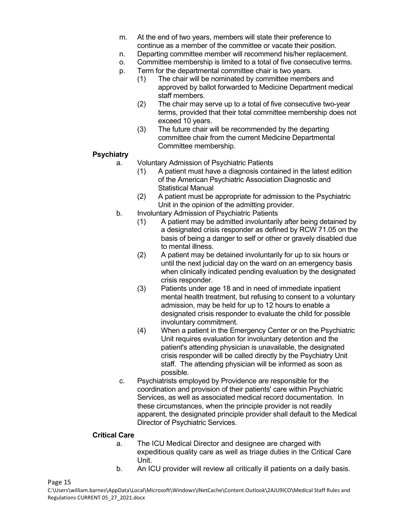- m. At the end of two years, members will state their preference to continue as a member of the committee or vacate their position.
- n. Departing committee member will recommend his/her replacement.
- o. Committee membership is limited to a total of five consecutive terms.
- p. Term for the departmental committee chair is two years.
	- (1) The chair will be nominated by committee members and approved by ballot forwarded to Medicine Department medical staff members.
	- (2) The chair may serve up to a total of five consecutive two-year terms, provided that their total committee membership does not exceed 10 years.
	- (3) The future chair will be recommended by the departing committee chair from the current Medicine Departmental Committee membership.

#### **Psychiatry**

a. Voluntary Admission of Psychiatric Patients

- (1) A patient must have a diagnosis contained in the latest edition of the American Psychiatric Association Diagnostic and Statistical Manual
- (2) A patient must be appropriate for admission to the Psychiatric Unit in the opinion of the admitting provider.
- b. Involuntary Admission of Psychiatric Patients
	- (1) A patient may be admitted involuntarily after being detained by a designated crisis responder as defined by RCW 71.05 on the basis of being a danger to self or other or gravely disabled due to mental illness.
	- (2) A patient may be detained involuntarily for up to six hours or until the next judicial day on the ward on an emergency basis when clinically indicated pending evaluation by the designated crisis responder.
	- (3) Patients under age 18 and in need of immediate inpatient mental health treatment, but refusing to consent to a voluntary admission, may be held for up to 12 hours to enable a designated crisis responder to evaluate the child for possible involuntary commitment.
	- (4) When a patient in the Emergency Center or on the Psychiatric Unit requires evaluation for involuntary detention and the patient's attending physician is unavailable, the designated crisis responder will be called directly by the Psychiatry Unit staff. The attending physician will be informed as soon as possible.
- c. Psychiatrists employed by Providence are responsible for the coordination and provision of their patients' care within Psychiatric Services, as well as associated medical record documentation. In these circumstances, when the principle provider is not readily apparent, the designated principle provider shall default to the Medical Director of Psychiatric Services.

#### **Critical Care**

- a. The ICU Medical Director and designee are charged with expeditious quality care as well as triage duties in the Critical Care Unit.
- b. An ICU provider will review all critically ill patients on a daily basis.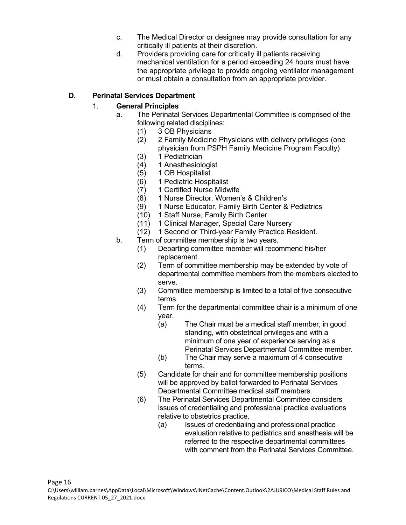- c. The Medical Director or designee may provide consultation for any critically ill patients at their discretion.
- d. Providers providing care for critically ill patients receiving mechanical ventilation for a period exceeding 24 hours must have the appropriate privilege to provide ongoing ventilator management or must obtain a consultation from an appropriate provider.

#### **D. Perinatal Services Department**

#### 1. **General Principles**

- a. The Perinatal Services Departmental Committee is comprised of the following related disciplines:
	- (1) 3 OB Physicians
	- (2) 2 Family Medicine Physicians with delivery privileges (one physician from PSPH Family Medicine Program Faculty)
	- (3) 1 Pediatrician
	- (4) 1 Anesthesiologist
	- (5) 1 OB Hospitalist
	- (6) 1 Pediatric Hospitalist
	- (7) 1 Certified Nurse Midwife
	- (8) 1 Nurse Director, Women's & Children's
	- (9) 1 Nurse Educator, Family Birth Center & Pediatrics
	- (10) 1 Staff Nurse, Family Birth Center
	- (11) 1 Clinical Manager, Special Care Nursery
	- (12) 1 Second or Third-year Family Practice Resident.
- b. Term of committee membership is two years.
	- (1) Departing committee member will recommend his/her replacement.
	- (2) Term of committee membership may be extended by vote of departmental committee members from the members elected to serve.
	- (3) Committee membership is limited to a total of five consecutive terms.
	- (4) Term for the departmental committee chair is a minimum of one year.
		- (a) The Chair must be a medical staff member, in good standing, with obstetrical privileges and with a minimum of one year of experience serving as a Perinatal Services Departmental Committee member.
		- (b) The Chair may serve a maximum of 4 consecutive terms.
	- (5) Candidate for chair and for committee membership positions will be approved by ballot forwarded to Perinatal Services Departmental Committee medical staff members.
	- (6) The Perinatal Services Departmental Committee considers issues of credentialing and professional practice evaluations relative to obstetrics practice.
		- (a) Issues of credentialing and professional practice evaluation relative to pediatrics and anesthesia will be referred to the respective departmental committees with comment from the Perinatal Services Committee.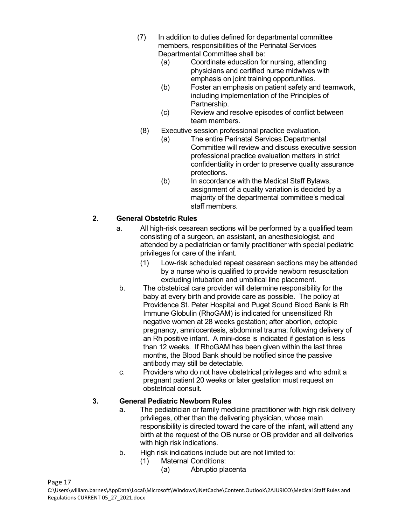- (7) In addition to duties defined for departmental committee members, responsibilities of the Perinatal Services Departmental Committee shall be:
	- (a) Coordinate education for nursing, attending physicians and certified nurse midwives with emphasis on joint training opportunities.
	- (b) Foster an emphasis on patient safety and teamwork, including implementation of the Principles of Partnership.
	- (c) Review and resolve episodes of conflict between team members.
- (8) Executive session professional practice evaluation.
	- (a) The entire Perinatal Services Departmental Committee will review and discuss executive session professional practice evaluation matters in strict confidentiality in order to preserve quality assurance protections.
	- (b) In accordance with the Medical Staff Bylaws, assignment of a quality variation is decided by a majority of the departmental committee's medical staff members.

# **2. General Obstetric Rules**

- a. All high-risk cesarean sections will be performed by a qualified team consisting of a surgeon, an assistant, an anesthesiologist, and attended by a pediatrician or family practitioner with special pediatric privileges for care of the infant.
	- (1) Low-risk scheduled repeat cesarean sections may be attended by a nurse who is qualified to provide newborn resuscitation excluding intubation and umbilical line placement.
- b. The obstetrical care provider will determine responsibility for the baby at every birth and provide care as possible. The policy at Providence St. Peter Hospital and Puget Sound Blood Bank is Rh Immune Globulin (RhoGAM) is indicated for unsensitized Rh negative women at 28 weeks gestation; after abortion, ectopic pregnancy, amniocentesis, abdominal trauma; following delivery of an Rh positive infant. A mini-dose is indicated if gestation is less than 12 weeks. If RhoGAM has been given within the last three months, the Blood Bank should be notified since the passive antibody may still be detectable.
- c. Providers who do not have obstetrical privileges and who admit a pregnant patient 20 weeks or later gestation must request an obstetrical consult.

# **3. General Pediatric Newborn Rules**

- a. The pediatrician or family medicine practitioner with high risk delivery privileges, other than the delivering physician, whose main responsibility is directed toward the care of the infant, will attend any birth at the request of the OB nurse or OB provider and all deliveries with high risk indications.
- b. High risk indications include but are not limited to:
	- (1) Maternal Conditions:
		- (a) Abruptio placenta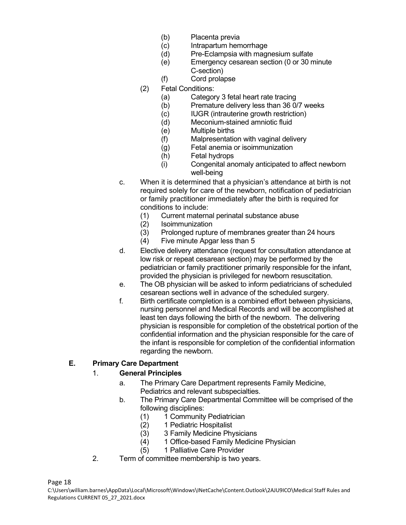- (b) Placenta previa
- (c) Intrapartum hemorrhage
- (d) Pre-Eclampsia with magnesium sulfate
- (e) Emergency cesarean section (0 or 30 minute C-section)
- (f) Cord prolapse
- (2) Fetal Conditions:
	- (a) Category 3 fetal heart rate tracing
	- (b) Premature delivery less than 36 0/7 weeks
	- (c) IUGR (intrauterine growth restriction)
	- (d) Meconium-stained amniotic fluid
	- (e) Multiple births
	- (f) Malpresentation with vaginal delivery
	- (g) Fetal anemia or isoimmunization
	- (h) Fetal hydrops
	- (i) Congenital anomaly anticipated to affect newborn well-being
- c. When it is determined that a physician's attendance at birth is not required solely for care of the newborn, notification of pediatrician or family practitioner immediately after the birth is required for conditions to include:
	- (1) Current maternal perinatal substance abuse
	- (2) Isoimmunization
	- (3) Prolonged rupture of membranes greater than 24 hours
	- (4) Five minute Apgar less than 5
- d. Elective delivery attendance (request for consultation attendance at low risk or repeat cesarean section) may be performed by the pediatrician or family practitioner primarily responsible for the infant, provided the physician is privileged for newborn resuscitation.
- e. The OB physician will be asked to inform pediatricians of scheduled cesarean sections well in advance of the scheduled surgery.
- f. Birth certificate completion is a combined effort between physicians, nursing personnel and Medical Records and will be accomplished at least ten days following the birth of the newborn. The delivering physician is responsible for completion of the obstetrical portion of the confidential information and the physician responsible for the care of the infant is responsible for completion of the confidential information regarding the newborn.

#### **E. Primary Care Department**

#### 1. **General Principles**

- a. The Primary Care Department represents Family Medicine, Pediatrics and relevant subspecialties.
- b. The Primary Care Departmental Committee will be comprised of the following disciplines:
	- (1) 1 Community Pediatrician
	- (2) 1 Pediatric Hospitalist
	- (3) 3 Family Medicine Physicians<br>(4) 1 Office-based Family Medicin
	- 1 Office-based Family Medicine Physician
	- (5) 1 Palliative Care Provider
- 2. Term of committee membership is two years.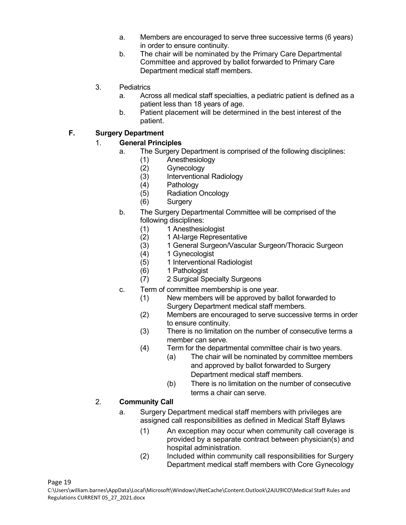- a. Members are encouraged to serve three successive terms (6 years) in order to ensure continuity.
- b. The chair will be nominated by the Primary Care Departmental Committee and approved by ballot forwarded to Primary Care Department medical staff members.
- 3. Pediatrics
	- a. Across all medical staff specialties, a pediatric patient is defined as a patient less than 18 years of age.
	- b. Patient placement will be determined in the best interest of the patient.

#### **F. Surgery Department**

## 1. **General Principles**

- a. The Surgery Department is comprised of the following disciplines:
	- (1) Anesthesiology
	- **Gynecology**
	- (3) Interventional Radiology
	- (4) Pathology
	- (5) Radiation Oncology
	- (6) Surgery
- b. The Surgery Departmental Committee will be comprised of the following disciplines:
	- (1) 1 Anesthesiologist<br>(2) 1 At-large Represe
		- 1 At-large Representative
	- (3) 1 General Surgeon/Vascular Surgeon/Thoracic Surgeon
	- (4) 1 Gynecologist
	- (5) 1 Interventional Radiologist
	- (6) 1 Pathologist
	- (7) 2 Surgical Specialty Surgeons
- c. Term of committee membership is one year.
	- (1) New members will be approved by ballot forwarded to Surgery Department medical staff members.
	- (2) Members are encouraged to serve successive terms in order to ensure continuity.
	- (3) There is no limitation on the number of consecutive terms a member can serve.
	- (4) Term for the departmental committee chair is two years.
		- (a) The chair will be nominated by committee members and approved by ballot forwarded to Surgery Department medical staff members.
			- (b) There is no limitation on the number of consecutive terms a chair can serve.

#### 2. **Community Call**

- a. Surgery Department medical staff members with privileges are assigned call responsibilities as defined in Medical Staff Bylaws
	- (1) An exception may occur when community call coverage is provided by a separate contract between physician(s) and hospital administration.
	- (2) Included within community call responsibilities for Surgery Department medical staff members with Core Gynecology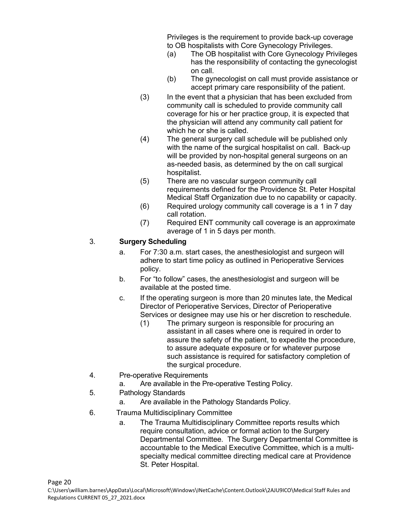Privileges is the requirement to provide back-up coverage to OB hospitalists with Core Gynecology Privileges.

- (a) The OB hospitalist with Core Gynecology Privileges has the responsibility of contacting the gynecologist on call.
- (b) The gynecologist on call must provide assistance or accept primary care responsibility of the patient.
- (3) In the event that a physician that has been excluded from community call is scheduled to provide community call coverage for his or her practice group, it is expected that the physician will attend any community call patient for which he or she is called.
- (4) The general surgery call schedule will be published only with the name of the surgical hospitalist on call. Back-up will be provided by non-hospital general surgeons on an as-needed basis, as determined by the on call surgical hospitalist.
- (5) There are no vascular surgeon community call requirements defined for the Providence St. Peter Hospital Medical Staff Organization due to no capability or capacity.
- (6) Required urology community call coverage is a 1 in 7 day call rotation.
- (7) Required ENT community call coverage is an approximate average of 1 in 5 days per month.

## 3. **Surgery Scheduling**

- a. For 7:30 a.m. start cases, the anesthesiologist and surgeon will adhere to start time policy as outlined in Perioperative Services policy.
- b. For "to follow" cases, the anesthesiologist and surgeon will be available at the posted time.
- c. If the operating surgeon is more than 20 minutes late, the Medical Director of Perioperative Services, Director of Perioperative Services or designee may use his or her discretion to reschedule.
	- (1) The primary surgeon is responsible for procuring an assistant in all cases where one is required in order to assure the safety of the patient, to expedite the procedure, to assure adequate exposure or for whatever purpose such assistance is required for satisfactory completion of the surgical procedure.
- 4. Pre-operative Requirements
	- a. Are available in the Pre-operative Testing Policy.
- 5. Pathology Standards
	- a. Are available in the Pathology Standards Policy.
- 6. Trauma Multidisciplinary Committee
	- a. The Trauma Multidisciplinary Committee reports results which require consultation, advice or formal action to the Surgery Departmental Committee. The Surgery Departmental Committee is accountable to the Medical Executive Committee, which is a multispecialty medical committee directing medical care at Providence St. Peter Hospital.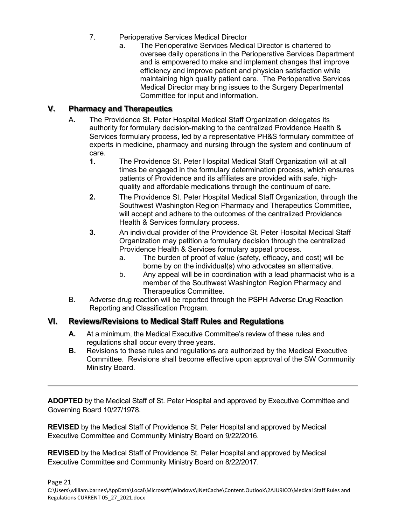- 7. Perioperative Services Medical Director
	- a. The Perioperative Services Medical Director is chartered to oversee daily operations in the Perioperative Services Department and is empowered to make and implement changes that improve efficiency and improve patient and physician satisfaction while maintaining high quality patient care. The Perioperative Services Medical Director may bring issues to the Surgery Departmental Committee for input and information.

## **V. Pharmacy and Therapeutics**

- A**.** The Providence St. Peter Hospital Medical Staff Organization delegates its authority for formulary decision-making to the centralized Providence Health & Services formulary process, led by a representative PH&S formulary committee of experts in medicine, pharmacy and nursing through the system and continuum of care.
	- **1.** The Providence St. Peter Hospital Medical Staff Organization will at all times be engaged in the formulary determination process, which ensures patients of Providence and its affiliates are provided with safe, highquality and affordable medications through the continuum of care.
	- **2.** The Providence St. Peter Hospital Medical Staff Organization, through the Southwest Washington Region Pharmacy and Therapeutics Committee, will accept and adhere to the outcomes of the centralized Providence Health & Services formulary process.
	- **3.** An individual provider of the Providence St. Peter Hospital Medical Staff Organization may petition a formulary decision through the centralized Providence Health & Services formulary appeal process.
		- a. The burden of proof of value (safety, efficacy, and cost) will be borne by on the individual(s) who advocates an alternative.
		- b. Any appeal will be in coordination with a lead pharmacist who is a member of the Southwest Washington Region Pharmacy and Therapeutics Committee.
- B. Adverse drug reaction will be reported through the PSPH Adverse Drug Reaction Reporting and Classification Program.

## **VI. Reviews/Revisions to Medical Staff Rules and Regulations**

- **A.** At a minimum, the Medical Executive Committee's review of these rules and regulations shall occur every three years.
- **B.** Revisions to these rules and regulations are authorized by the Medical Executive Committee. Revisions shall become effective upon approval of the SW Community Ministry Board.

**ADOPTED** by the Medical Staff of St. Peter Hospital and approved by Executive Committee and Governing Board 10/27/1978.

**REVISED** by the Medical Staff of Providence St. Peter Hospital and approved by Medical Executive Committee and Community Ministry Board on 9/22/2016.

**REVISED** by the Medical Staff of Providence St. Peter Hospital and approved by Medical Executive Committee and Community Ministry Board on 8/22/2017.